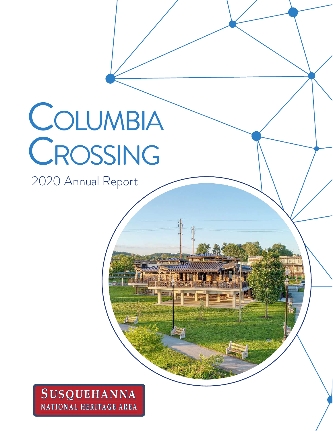# COLUMBIA CROSSING

2020 Annual Report

### **SUSQUEHANNA** NATIONAL HERITAGE AREA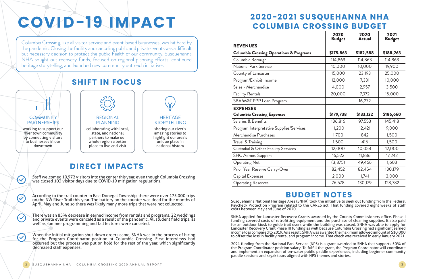Susquehanna National Heritage Area (SNHA) took the initiative to seek out funding from the Federal Paycheck Protection Program related to the CARES act. That funding covered eight weeks of staff costs between May and June of 2020.

SNHA applied for Lancaster Recovery Grants awarded by the County Commissioners office. Phase I funding covered costs of retrofitting equipment and the purchase of cleaning supplies. It also paid for an outdoor kiosk to guide trail users while the building was closed. SNHA was able to apply for Lancaster Recovery Grant Phase III funding as well because Columbia Crossing had significant earned income loss compared to 2019. As a result, SNHA was awarded the maximum allowed amount of \$10,000 to offset the loss in facility rental and program income. That check was received in early January 2021.

working to support our river town community by connecting visitors to businesses in our downtown

 $\blacktriangledown$ 

 $\bigotimes$ 

 $\blacktriangledown$ 

 $\blacktriangledown$ 

## **2020-2021 SUSQUEHANNA NHA COLUMBIA CROSSING BUDGET**

There was an 85% decrease in earned income from rentals and programs. 22 weddings and private events were canceled as a result of the pandemic. All student field trips, as well as summer programming and fall lectures were canceled.

> 2021 funding from the National Park Service (NPS) is a grant awarded to SNHA that supports 50% of the Program Coordinator position salary. To fulfill the grant, the Program Coordinator will coordinate and implement an expansion of on-water public paddle experiences, including beginner community paddle sessions and kayak tours aligned with NPS themes and stories.

Columbia Crossing, like all visitor service and event-based businesses, was hit hard by the pandemic. Closing the facility and canceling public and private events was a difficult but necessary decision to protect the public health of our community. Susquehanna NHA sought out recovery funds, focused on regional planning efforts, continued heritage storytelling, and launched new community outreach initiatives.

When the initial mitigation shut-down orders came, SNHA was in the process of hiring for the Program Coordinator position at Columbia Crossing. First interviews had occurred but the process was put on hold for the rest of the year, which significantly decreased staff expenses.

# **COVID-19 IMPACT**

sharing our river's amazing stories to highlight our area's unique place in national history



collaborating with local, state, and national partners to make our whole region a better place to live and visit



### PARTNERSHIPS

According to the trail counter in East Donegal Township, there were over 175,000 trips on the NW River Trail this year. The battery on the counter was dead for the months of April, May and June so there was likely many more trips that were not collected.

Staff welcomed 10,972 visitors into the center this year, even though Columbia Crossing was closed 103 visitor days due to COVID-19 mitigation regulations.

## **SHIFT IN FOCUS**

## **COMMUNITY**

### **DIRECT IMPACTS**

## **BUDGET NOTES**

| 2020<br><b>Budget</b> | 2020<br>Actual | 2021<br>Budget |
|-----------------------|----------------|----------------|
| \$175,863             | \$182,588      | \$188,263      |
| 114,863               | 114,863        | 114,863        |
| 10,000                | 10,000         | 19,900         |
| 15,000                | 23,193         | 25,000         |
| 12,000                | 7,331          | 10,000         |
| 4,000                 | 2,957          | 3,500          |
| 20,000                | 7,972          | 15,000         |
|                       | 16,272         |                |
|                       |                |                |
|                       |                |                |
| \$179,738             | \$133,122      | \$186,660      |
| 136,816               | 97,553         | 145,418        |
| 11,200                | 12,421         | 9,000          |
| 1,700                 | 842            | 1,500          |
| 1,500                 | 416            | 1,500          |
| 12,000                | 10,054         | 12,000         |
| 16,522                | 11,836         | 17,242         |
| (3, 875)              | 49,466         | 1,603          |
| 82,452                | 82,454         | 130,179        |
| 2,000                 | 1,741          | 3,000          |

#### REVENUES

#### **Columbia Crossing Operations & Programs**

Columbia Borough

National Park Service

County of Lancaster

Program/Exhibit Income

Sales - Merchandise

Facility Rentals

SBA/M&T PPP Loan Program

#### EXPENSES

**Columbia Crossing Expenses** 

Salaries & Benefits

Program Interpretative Supplies/Services

Merchandise Purchases

Travel & Training

Custodial & Other Facility Services

SHC Admin. Support

Operating Net

Prior Year Reserve Carry-Over

Capital Expenses

Operating Reserves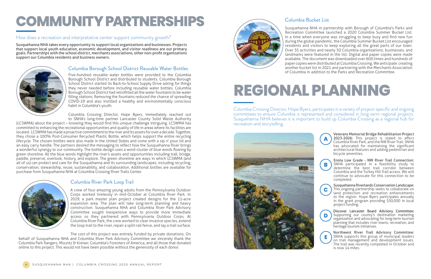Five-hundred reusable water bottles were provided to the Columbia Borough School District and distributed to students. Columbia Borough School District started its Back-to-School Supply Drive asking for things they never needed before including reusable water bottles. Columbia Borough School District had retrofitted all the water fountains to be water filling stations. Removing the fountains reduced the chance of spreading COVID-19 and also instilled a healthy and environmentally conscious habit in Columbia's youth.

Columbia Crossing Director, Hope Byers, immediately reached out to SNHA's long-time partner Lancaster County Solid Waste Authority

(LCSWMA) about the project – knowing they would find this unique challenge intriguing. LCSWMA has committed to enhancing the recreational opportunities and quality of life in areas where its facilities are located. LCSWMA has made a proactive commitment to the river and its assets for over a decade. Together, they chose a 100% Post-Consumer Recycled Plastic Bottle, which helps support the entire recycling lifecycle. The chosen bottles were also made in the United States and come with a sip n' pour lid and an easy carry handle. The partners desired the messaging to reflect how the Susquehanna River brings a wonderful synergy to our community. The bottle design uses a word-cluster of blue words flowing by green shoreline. All the blue words highlight the river's assets and opportunities including trail, bridge, paddle, preserve, overlook, history, and explore. The green shoreline are ways in which LCSWMA (and all of us) can protect and care for the Susquehanna and its surrounding landscapes, including recycling, conservation, stewardship, reuse, sustainability, and collaboration. Additional bottles are available for purchase from Susquehanna NHA at Columbia Crossing River Trails Center.



#### Columbia Borough School District Reusable Water Bottles

Susquehanna NHA takes every opportunity to support local organizations and businesses. Projects that support local youth education, economic development, and visitor readiness are our primary goals. Partnerships with the school district, merchants associations, other non-profit organizations support our Columbia residents and business owners.



#### How does a recreation and interpretative center support community growth?

## **COMMUNITY PARTNERSHIPS**

Columbia Crossing Director, Hope Byers, participates in a variety of project-specific and ongoing committees to ensure Columbia is represented and considered in long-term regional projects. Susquehanna NHA believes it is important to build up Columbia Crossing as a regional hub for recreation and storytelling.





A crew of four amazing young adults from the Pennsylvania Outdoor Corps worked tirelessly in mid-October at Columbia River Park. In 2019, a park master plan project created designs for the 11-acre expansion area. The plan will take long-term planning and heavy construction. Susquehanna NHA and Columbia River Park Advisory Committee sought inexpensive ways to provide more immediate access so they partnered with Pennsylvania Outdoor Corps. At Columbia River Park, the crew worked to clear invasive species, extend the loop trail to the river, repair a split-rail fence, and lay a trail surface.

The cost of this project was entirely funded by private donations. On

behalf of Susquehanna NHA and Columbia River Park Advisory Committee we sincerely thank the Columbia Park Rangers, Mountz & Kreiser, Columbia's Foresters of America, and all those that donated online to this project. This would not have been possible without the generosity of each donor.



#### Columbia River Park Loop Trail

Susquehanna NHA in partnership with Borough of Columbia's Parks and Recreation Committee launched a 2020 Columbia Summer Bucket List. In a time when everyone was struggling to keep busy and find new fun during the global pandemic, the Columbia Summer Bucket List encouraged residents and visitors to keep exploring all the great parts of our town. Over 35 activities and nearly 50 Columbia organizations, businesses, and landmarks were featured in the list. Digital and paper copies were made available. The document was downloaded over 600 times and hundreds of paper copies were distributed at Columbia Crossing. We anticipate creating another bucket list in 2021 and partnering with the Merchants Association of Columbia in addition to the Parks and Recreation Committee.

#### Columbia Bucket List

Susquehanna Riverlands Conservation Landscape: This ongoing partnership seeks to collaborate on land protection and recreation enhancements to the region. Hope Byers participates annually in the grant program providing \$50,000 in local project funding.



Enola Low Grade - NW River Trail Connection: SNHA participated in a feasibility study to determine the best trail corridor between Columbia and the Turkey Hill Trail access. We will continue to advocate for this connection to be completed.



Veterans Memorial Bridge Rehabilitation Project 2023-2026: This project is slated to affect Columbia River Park, and the NW River Trail. SNHA has advocated for maintaining the significant architectural features and adding pedestrian and bicycle amenities.

**A**

## **REGIONAL PLANNING**

Northwest River Trail Advisory Committee: SNHA supports this group of municipal leaders on trail management and development issues. The trail was recently completed in October and is now 14 miles.



Discover Lancaster Board Advisory Committee: Supporting our county's destination marketing organization and advocating for long-term tourism planning that includes river towns, recreation, and heritage tourism initiatives.

**D**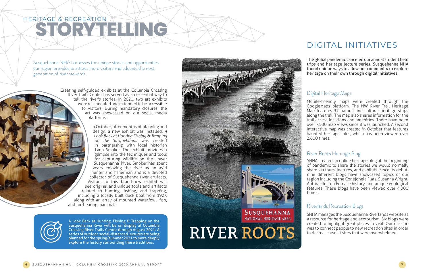Crossing River Trails Center through August 2021. A series of outdoor, social-distanced lectures are being planned for the spring/summer 2021 to more deeply explore the history surrounding these traditions.



The Marian

Creating self-guided exhibits at the Columbia Crossing River Trails Center has served as an essential way to tell the river's stories. In 2020, two art exhibits were rescheduled and extended to be accessible to visitors. During mandatory closures, the art was showcased on our social media platforms.

A Look Back at Hunting, Fishing & Trapping on the Susquehanna River will be on display at Columbia and fur-bearing mammals.

In October, after months of planning and design, a new exhibit was installed. *A Look Back at Hunting Fishing & Trapping on the Susquehanna* was created in partnership with local historian Lynn Smoker. The exhibit provides a glimpse into the techniques and tools for capturing wildlife on the Lower Susquehanna River. Smoker has spent years enjoying the river as an avid hunter and fisherman and is a devoted collector of Susquehanna river artifacts. Visitors to this brand-new exhibit will see original and unique tools and artifacts related to hunting, fishing, and trapping, including a locally built duck boat from 1927, along with an array of mounted waterfowl, fish,

Susquehanna NHA harnesses the unique stories and opportunities our region provides to attract more visitors and educate the next generation of river stewards.

## **STORYTELLING** HERITAGE & RECREATION

SNHA manages the Susquehanna Riverlands website as a resource for heritage and ecotourism. Six blogs were created to highlight great places to visit. Our mission was to connect people to new recreation sites in order to decrease use at sites that were overwhelmed.

#### Riverlands Recreation Blogs

SNHA created an online heritage blog at the beginning of pandemic to share the stories we would normally share via tours, lectures, and exhibits. Since its debut, nine different blogs have showcased topics of our region including the Conejohela Flats, Susanna Wright, Anthracite Iron Furnace history, and unique geological features. These blogs have been viewed over 4,000 times.

#### River Roots Heritage Blog

Mobile-friendly maps were created through the GoogleMaps platform. The NW River Trail Heritage Map features 37 natural and cultural heritage stops along the trail. The map also shares information for the trail access locations and amenities. There have been over 7,500 map views since it was launched. A second interactive map was created in October that features haunted heritage tales, which has been viewed over 2,600 times.

### Digital Heritage Maps

The global pandemic canceled our annual student field trips and heritage lecture series. Susquehanna NHA found unique ways to allow our community to explore heritage on their own through digital initiatives.

### DIGITAL INITIATIVES